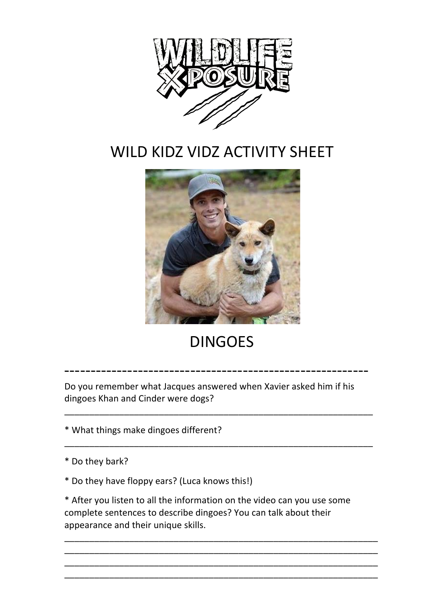

## WILD KIDZ VIDZ ACTIVITY SHEET



## DINGOES

Do you remember what Jacques answered when Xavier asked him if his dingoes Khan and Cinder were dogs?

----------------------------------------------------------

\_\_\_\_\_\_\_\_\_\_\_\_\_\_\_\_\_\_\_\_\_\_\_\_\_\_\_\_\_\_\_\_\_\_\_\_\_\_\_\_\_\_\_\_\_\_\_\_\_\_\_\_\_\_\_\_\_\_\_\_\_\_

\_\_\_\_\_\_\_\_\_\_\_\_\_\_\_\_\_\_\_\_\_\_\_\_\_\_\_\_\_\_\_\_\_\_\_\_\_\_\_\_\_\_\_\_\_\_\_\_\_\_\_\_\_\_\_\_\_\_\_\_\_\_

\* What things make dingoes different?

- \* Do they bark?
- \* Do they have floppy ears? (Luca knows this!)

\* After you listen to all the information on the video can you use some complete sentences to describe dingoes? You can talk about their appearance and their unique skills.

\_\_\_\_\_\_\_\_\_\_\_\_\_\_\_\_\_\_\_\_\_\_\_\_\_\_\_\_\_\_\_\_\_\_\_\_\_\_\_\_\_\_\_\_\_\_\_\_\_\_\_\_\_\_\_\_\_\_\_\_\_\_\_ \_\_\_\_\_\_\_\_\_\_\_\_\_\_\_\_\_\_\_\_\_\_\_\_\_\_\_\_\_\_\_\_\_\_\_\_\_\_\_\_\_\_\_\_\_\_\_\_\_\_\_\_\_\_\_\_\_\_\_\_\_\_\_ \_\_\_\_\_\_\_\_\_\_\_\_\_\_\_\_\_\_\_\_\_\_\_\_\_\_\_\_\_\_\_\_\_\_\_\_\_\_\_\_\_\_\_\_\_\_\_\_\_\_\_\_\_\_\_\_\_\_\_\_\_\_\_ \_\_\_\_\_\_\_\_\_\_\_\_\_\_\_\_\_\_\_\_\_\_\_\_\_\_\_\_\_\_\_\_\_\_\_\_\_\_\_\_\_\_\_\_\_\_\_\_\_\_\_\_\_\_\_\_\_\_\_\_\_\_\_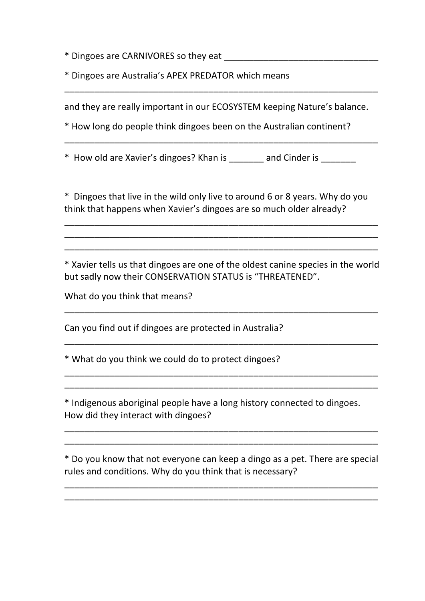\* Dingoes are CARNIVORES so they eat \_\_\_\_\_\_\_\_\_\_\_\_\_\_\_\_\_\_\_\_\_\_\_\_\_\_\_\_\_\_\_

\* Dingoes are Australia's APEX PREDATOR which means 

and they are really important in our ECOSYSTEM keeping Nature's balance.

\_\_\_\_\_\_\_\_\_\_\_\_\_\_\_\_\_\_\_\_\_\_\_\_\_\_\_\_\_\_\_\_\_\_\_\_\_\_\_\_\_\_\_\_\_\_\_\_\_\_\_\_\_\_\_\_\_\_\_\_\_\_\_

\_\_\_\_\_\_\_\_\_\_\_\_\_\_\_\_\_\_\_\_\_\_\_\_\_\_\_\_\_\_\_\_\_\_\_\_\_\_\_\_\_\_\_\_\_\_\_\_\_\_\_\_\_\_\_\_\_\_\_\_\_\_\_

\* How long do people think dingoes been on the Australian continent?

\* How old are Xavier's dingoes? Khan is \_\_\_\_\_\_\_ and Cinder is \_\_\_\_\_\_\_

\* Dingoes that live in the wild only live to around 6 or 8 years. Why do you think that happens when Xavier's dingoes are so much older already?

\_\_\_\_\_\_\_\_\_\_\_\_\_\_\_\_\_\_\_\_\_\_\_\_\_\_\_\_\_\_\_\_\_\_\_\_\_\_\_\_\_\_\_\_\_\_\_\_\_\_\_\_\_\_\_\_\_\_\_\_\_\_\_ \_\_\_\_\_\_\_\_\_\_\_\_\_\_\_\_\_\_\_\_\_\_\_\_\_\_\_\_\_\_\_\_\_\_\_\_\_\_\_\_\_\_\_\_\_\_\_\_\_\_\_\_\_\_\_\_\_\_\_\_\_\_\_ \_\_\_\_\_\_\_\_\_\_\_\_\_\_\_\_\_\_\_\_\_\_\_\_\_\_\_\_\_\_\_\_\_\_\_\_\_\_\_\_\_\_\_\_\_\_\_\_\_\_\_\_\_\_\_\_\_\_\_\_\_\_\_

\* Xavier tells us that dingoes are one of the oldest canine species in the world but sadly now their CONSERVATION STATUS is "THREATENED".

\_\_\_\_\_\_\_\_\_\_\_\_\_\_\_\_\_\_\_\_\_\_\_\_\_\_\_\_\_\_\_\_\_\_\_\_\_\_\_\_\_\_\_\_\_\_\_\_\_\_\_\_\_\_\_\_\_\_\_\_\_\_\_

\_\_\_\_\_\_\_\_\_\_\_\_\_\_\_\_\_\_\_\_\_\_\_\_\_\_\_\_\_\_\_\_\_\_\_\_\_\_\_\_\_\_\_\_\_\_\_\_\_\_\_\_\_\_\_\_\_\_\_\_\_\_\_

\_\_\_\_\_\_\_\_\_\_\_\_\_\_\_\_\_\_\_\_\_\_\_\_\_\_\_\_\_\_\_\_\_\_\_\_\_\_\_\_\_\_\_\_\_\_\_\_\_\_\_\_\_\_\_\_\_\_\_\_\_\_\_ \_\_\_\_\_\_\_\_\_\_\_\_\_\_\_\_\_\_\_\_\_\_\_\_\_\_\_\_\_\_\_\_\_\_\_\_\_\_\_\_\_\_\_\_\_\_\_\_\_\_\_\_\_\_\_\_\_\_\_\_\_\_\_

What do you think that means?

Can you find out if dingoes are protected in Australia?

\* What do you think we could do to protect dingoes?

\* Indigenous aboriginal people have a long history connected to dingoes. How did they interact with dingoes?

\* Do you know that not everyone can keep a dingo as a pet. There are special rules and conditions. Why do you think that is necessary?

\_\_\_\_\_\_\_\_\_\_\_\_\_\_\_\_\_\_\_\_\_\_\_\_\_\_\_\_\_\_\_\_\_\_\_\_\_\_\_\_\_\_\_\_\_\_\_\_\_\_\_\_\_\_\_\_\_\_\_\_\_\_\_ \_\_\_\_\_\_\_\_\_\_\_\_\_\_\_\_\_\_\_\_\_\_\_\_\_\_\_\_\_\_\_\_\_\_\_\_\_\_\_\_\_\_\_\_\_\_\_\_\_\_\_\_\_\_\_\_\_\_\_\_\_\_\_

\_\_\_\_\_\_\_\_\_\_\_\_\_\_\_\_\_\_\_\_\_\_\_\_\_\_\_\_\_\_\_\_\_\_\_\_\_\_\_\_\_\_\_\_\_\_\_\_\_\_\_\_\_\_\_\_\_\_\_\_\_\_\_ \_\_\_\_\_\_\_\_\_\_\_\_\_\_\_\_\_\_\_\_\_\_\_\_\_\_\_\_\_\_\_\_\_\_\_\_\_\_\_\_\_\_\_\_\_\_\_\_\_\_\_\_\_\_\_\_\_\_\_\_\_\_\_